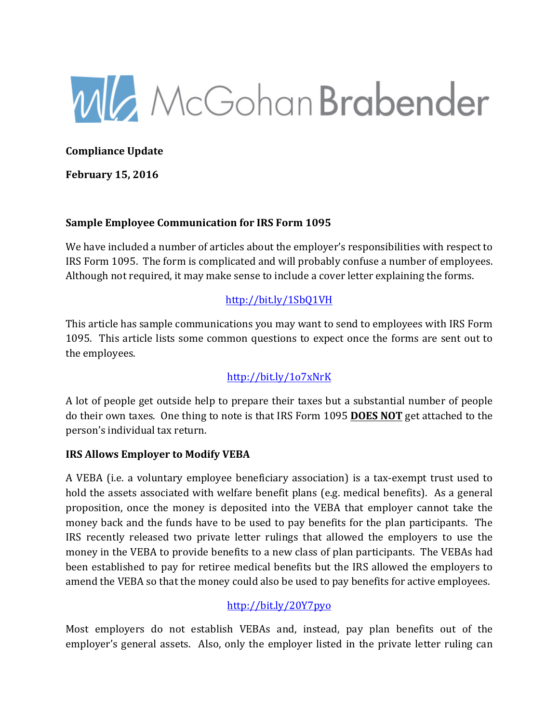

**Compliance Update**

**February 15, 2016**

#### **Sample Employee Communication for IRS Form 1095**

We have included a number of articles about the employer's responsibilities with respect to IRS Form 1095. The form is complicated and will probably confuse a number of employees. Although not required, it may make sense to include a cover letter explaining the forms.

#### http://bit.ly/1SbQ1VH

This article has sample communications you may want to send to employees with IRS Form 1095. This article lists some common questions to expect once the forms are sent out to the employees.

### http://bit.ly/1o7xNrK

A lot of people get outside help to prepare their taxes but a substantial number of people do their own taxes. One thing to note is that IRS Form 1095 **DOES NOT** get attached to the person's individual tax return.

#### **IRS Allows Employer to Modify VEBA**

A VEBA (i.e. a voluntary employee beneficiary association) is a tax-exempt trust used to hold the assets associated with welfare benefit plans (e.g. medical benefits). As a general proposition, once the money is deposited into the VEBA that employer cannot take the money back and the funds have to be used to pay benefits for the plan participants. The IRS recently released two private letter rulings that allowed the employers to use the money in the VEBA to provide benefits to a new class of plan participants. The VEBAs had been established to pay for retiree medical benefits but the IRS allowed the employers to amend the VEBA so that the money could also be used to pay benefits for active employees.

### http://bit.ly/20Y7pyo

Most employers do not establish VEBAs and, instead, pay plan benefits out of the employer's general assets. Also, only the employer listed in the private letter ruling can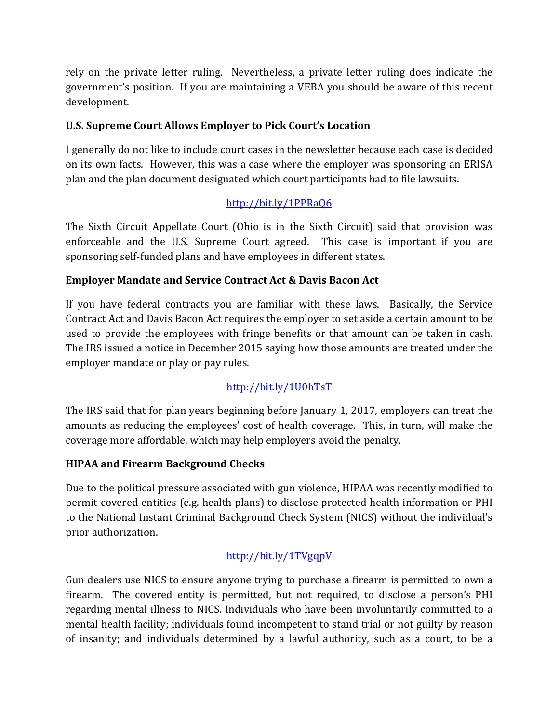rely on the private letter ruling. Nevertheless, a private letter ruling does indicate the government's position. If you are maintaining a VEBA you should be aware of this recent development.

## **U.S. Supreme Court Allows Employer to Pick Court's Location**

I generally do not like to include court cases in the newsletter because each case is decided on its own facts. However, this was a case where the employer was sponsoring an ERISA plan and the plan document designated which court participants had to file lawsuits.

# http://bit.ly/1PPRaQ6

The Sixth Circuit Appellate Court (Ohio is in the Sixth Circuit) said that provision was enforceable and the U.S. Supreme Court agreed. This case is important if you are sponsoring self-funded plans and have employees in different states.

## **Employer Mandate and Service Contract Act & Davis Bacon Act**

If you have federal contracts you are familiar with these laws. Basically, the Service Contract Act and Davis Bacon Act requires the employer to set aside a certain amount to be used to provide the employees with fringe benefits or that amount can be taken in cash. The IRS issued a notice in December 2015 saying how those amounts are treated under the employer mandate or play or pay rules.

# http://bit.ly/1U0hTsT

The IRS said that for plan years beginning before January 1, 2017, employers can treat the amounts as reducing the employees' cost of health coverage. This, in turn, will make the coverage more affordable, which may help employers avoid the penalty.

### **HIPAA and Firearm Background Checks**

Due to the political pressure associated with gun violence, HIPAA was recently modified to permit covered entities (e.g. health plans) to disclose protected health information or PHI to the National Instant Criminal Background Check System (NICS) without the individual's prior authorization.

# http://bit.ly/1TVgqpV

Gun dealers use NICS to ensure anyone trying to purchase a firearm is permitted to own a firearm. The covered entity is permitted, but not required, to disclose a person's PHI regarding mental illness to NICS. Individuals who have been involuntarily committed to a mental health facility; individuals found incompetent to stand trial or not guilty by reason of insanity; and individuals determined by a lawful authority, such as a court, to be a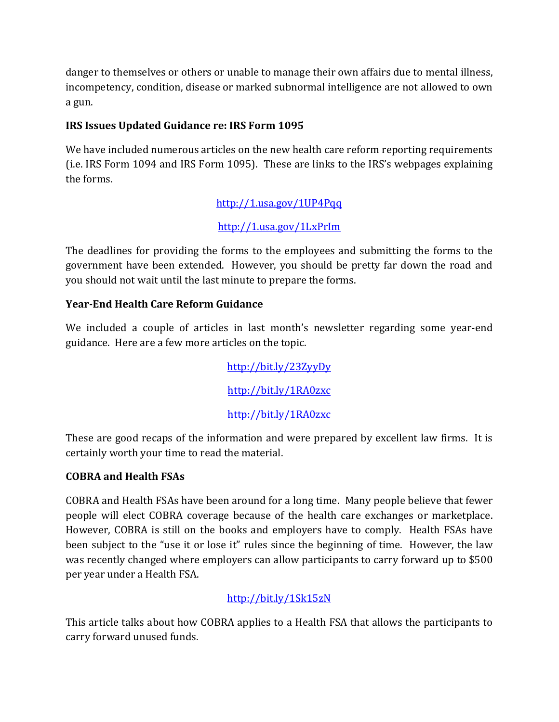danger to themselves or others or unable to manage their own affairs due to mental illness, incompetency, condition, disease or marked subnormal intelligence are not allowed to own a gun.

## **IRS Issues Updated Guidance re: IRS Form 1095**

We have included numerous articles on the new health care reform reporting requirements (i.e. IRS Form 1094 and IRS Form 1095). These are links to the IRS's webpages explaining the forms

# http://1.usa.gov/1UP4Pqq

## http://1.usa.gov/1LxPrIm

The deadlines for providing the forms to the employees and submitting the forms to the government have been extended. However, you should be pretty far down the road and you should not wait until the last minute to prepare the forms.

### **Year-End Health Care Reform Guidance**

We included a couple of articles in last month's newsletter regarding some year-end guidance. Here are a few more articles on the topic.

> http://bit.ly/23ZyyDy http://bit.ly/1RA0zxc http://bit.ly/1RA0zxc

These are good recaps of the information and were prepared by excellent law firms. It is certainly worth your time to read the material.

### **COBRA and Health FSAs**

COBRA and Health FSAs have been around for a long time. Many people believe that fewer people will elect COBRA coverage because of the health care exchanges or marketplace. However, COBRA is still on the books and employers have to comply. Health FSAs have been subject to the "use it or lose it" rules since the beginning of time. However, the law was recently changed where employers can allow participants to carry forward up to \$500 per year under a Health FSA.

# http://bit.ly/1Sk15zN

This article talks about how COBRA applies to a Health FSA that allows the participants to carry forward unused funds.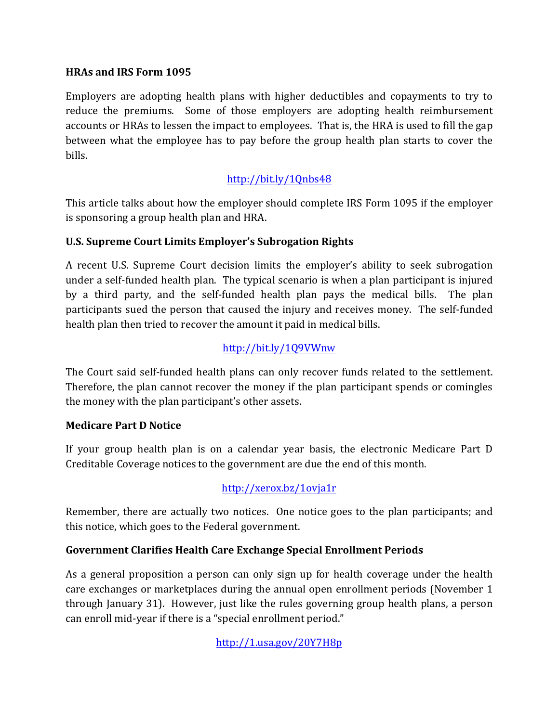#### **HRAs and IRS Form 1095**

Employers are adopting health plans with higher deductibles and copayments to try to reduce the premiums. Some of those employers are adopting health reimbursement accounts or HRAs to lessen the impact to employees. That is, the HRA is used to fill the gap between what the employee has to pay before the group health plan starts to cover the bills. 

## http://bit.ly/1Qnbs48

This article talks about how the employer should complete IRS Form 1095 if the employer is sponsoring a group health plan and HRA.

#### **U.S. Supreme Court Limits Employer's Subrogation Rights**

A recent U.S. Supreme Court decision limits the employer's ability to seek subrogation under a self-funded health plan. The typical scenario is when a plan participant is injured by a third party, and the self-funded health plan pays the medical bills. The plan participants sued the person that caused the injury and receives money. The self-funded health plan then tried to recover the amount it paid in medical bills.

### http://bit.ly/1Q9VWnw

The Court said self-funded health plans can only recover funds related to the settlement. Therefore, the plan cannot recover the money if the plan participant spends or comingles the money with the plan participant's other assets.

#### **Medicare Part D Notice**

If your group health plan is on a calendar year basis, the electronic Medicare Part D Creditable Coverage notices to the government are due the end of this month.

### http://xerox.bz/1ovja1r

Remember, there are actually two notices. One notice goes to the plan participants; and this notice, which goes to the Federal government.

### Government Clarifies Health Care Exchange Special Enrollment Periods

As a general proposition a person can only sign up for health coverage under the health care exchanges or marketplaces during the annual open enrollment periods (November 1) through January 31). However, just like the rules governing group health plans, a person can enroll mid-year if there is a "special enrollment period."

http://1.usa.gov/20Y7H8p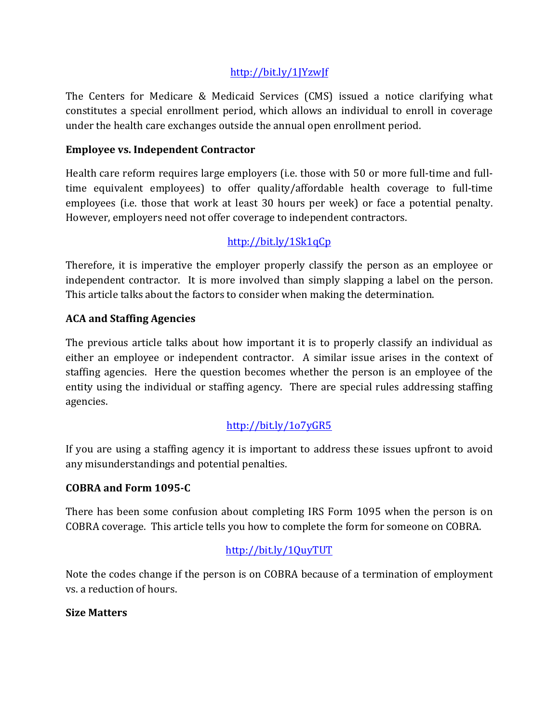## http://bit.ly/1JYzwJf

The Centers for Medicare & Medicaid Services (CMS) issued a notice clarifying what constitutes a special enrollment period, which allows an individual to enroll in coverage under the health care exchanges outside the annual open enrollment period.

#### **Employee vs. Independent Contractor**

Health care reform requires large employers (i.e. those with 50 or more full-time and fulltime equivalent employees) to offer quality/affordable health coverage to full-time employees (i.e. those that work at least 30 hours per week) or face a potential penalty. However, employers need not offer coverage to independent contractors.

### http://bit.ly/1Sk1qCp

Therefore, it is imperative the employer properly classify the person as an employee or independent contractor. It is more involved than simply slapping a label on the person. This article talks about the factors to consider when making the determination.

### **ACA and Staffing Agencies**

The previous article talks about how important it is to properly classify an individual as either an employee or independent contractor. A similar issue arises in the context of staffing agencies. Here the question becomes whether the person is an employee of the entity using the individual or staffing agency. There are special rules addressing staffing agencies.

### http://bit.ly/1o7yGR5

If you are using a staffing agency it is important to address these issues upfront to avoid any misunderstandings and potential penalties.

#### **COBRA and Form 1095-C**

There has been some confusion about completing IRS Form 1095 when the person is on COBRA coverage. This article tells you how to complete the form for someone on COBRA.

### http://bit.ly/1QuyTUT

Note the codes change if the person is on COBRA because of a termination of employment vs. a reduction of hours.

#### **Size Matters**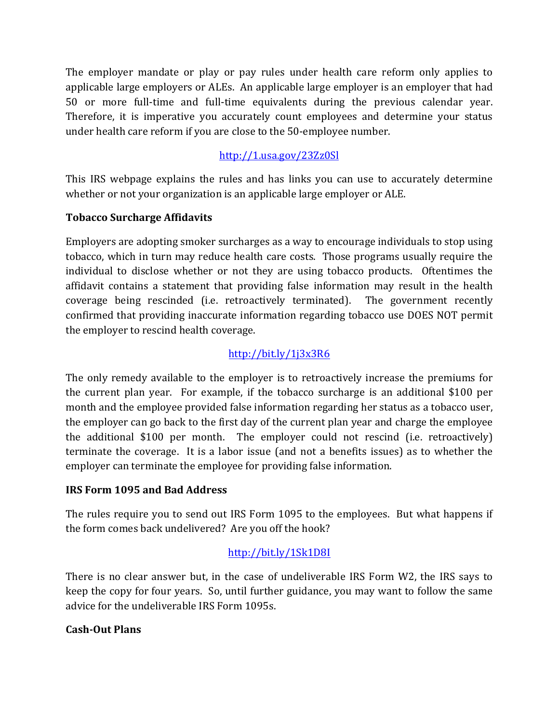The employer mandate or play or pay rules under health care reform only applies to applicable large employers or ALEs. An applicable large employer is an employer that had 50 or more full-time and full-time equivalents during the previous calendar year. Therefore, it is imperative you accurately count employees and determine your status under health care reform if you are close to the 50-employee number.

# http://1.usa.gov/23Zz0Sl

This IRS webpage explains the rules and has links you can use to accurately determine whether or not your organization is an applicable large employer or ALE.

### **Tobacco Surcharge Affidavits**

Employers are adopting smoker surcharges as a way to encourage individuals to stop using tobacco, which in turn may reduce health care costs. Those programs usually require the individual to disclose whether or not they are using tobacco products. Oftentimes the affidavit contains a statement that providing false information may result in the health coverage being rescinded (i.e. retroactively terminated). The government recently confirmed that providing inaccurate information regarding tobacco use DOES NOT permit the employer to rescind health coverage.

# http://bit.ly/1j3x3R6

The only remedy available to the employer is to retroactively increase the premiums for the current plan year. For example, if the tobacco surcharge is an additional  $$100$  per month and the employee provided false information regarding her status as a tobacco user, the employer can go back to the first day of the current plan year and charge the employee the additional  $$100$  per month. The employer could not rescind (i.e. retroactively) terminate the coverage. It is a labor issue (and not a benefits issues) as to whether the employer can terminate the employee for providing false information.

### **IRS Form 1095 and Bad Address**

The rules require you to send out IRS Form 1095 to the employees. But what happens if the form comes back undelivered? Are you off the hook?

# http://bit.ly/1Sk1D8I

There is no clear answer but, in the case of undeliverable IRS Form W2, the IRS says to keep the copy for four years. So, until further guidance, you may want to follow the same advice for the undeliverable IRS Form 1095s.

# **Cash-Out Plans**